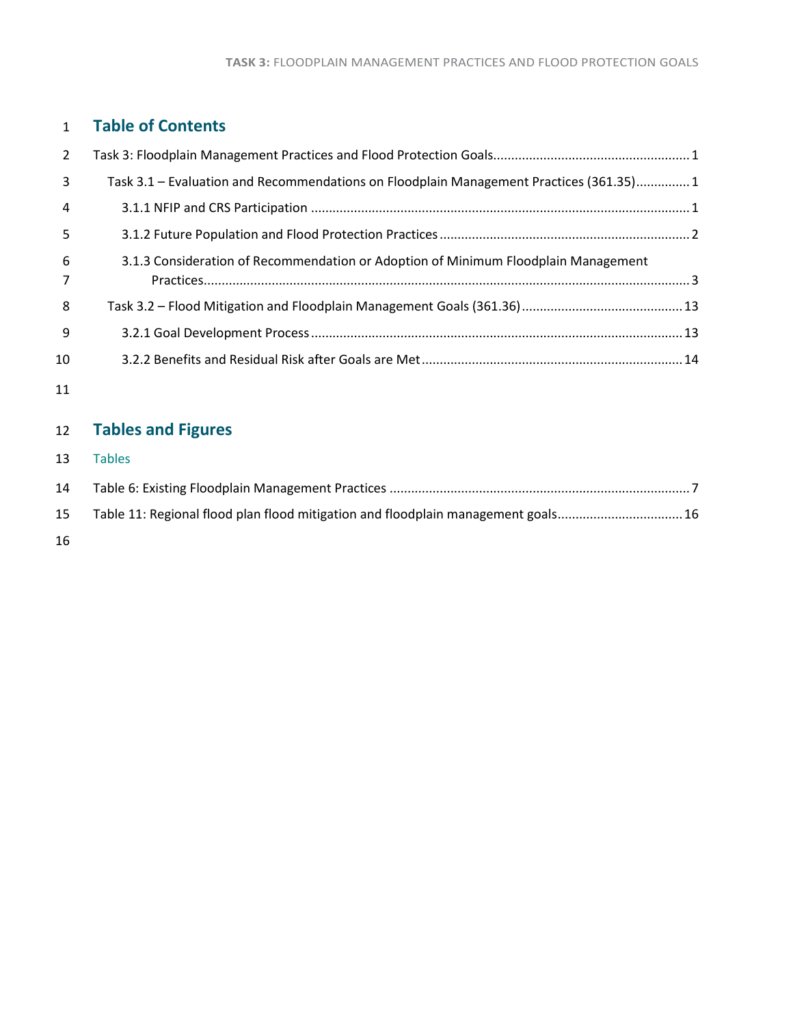## **Table of Contents**

| 2                   |                                                                                         |  |
|---------------------|-----------------------------------------------------------------------------------------|--|
| 3                   | Task 3.1 – Evaluation and Recommendations on Floodplain Management Practices (361.35) 1 |  |
| $\overline{4}$      |                                                                                         |  |
| 5                   |                                                                                         |  |
| 6<br>$\overline{7}$ | 3.1.3 Consideration of Recommendation or Adoption of Minimum Floodplain Management      |  |
| 8                   |                                                                                         |  |
| -9                  |                                                                                         |  |
| 10                  |                                                                                         |  |
|                     |                                                                                         |  |

## **Tables and Figures**

| 13 | <b>Tables</b> |  |
|----|---------------|--|
|    |               |  |

| 14 |                                                                                   |
|----|-----------------------------------------------------------------------------------|
| 15 | Table 11: Regional flood plan flood mitigation and floodplain management goals 16 |
| 16 |                                                                                   |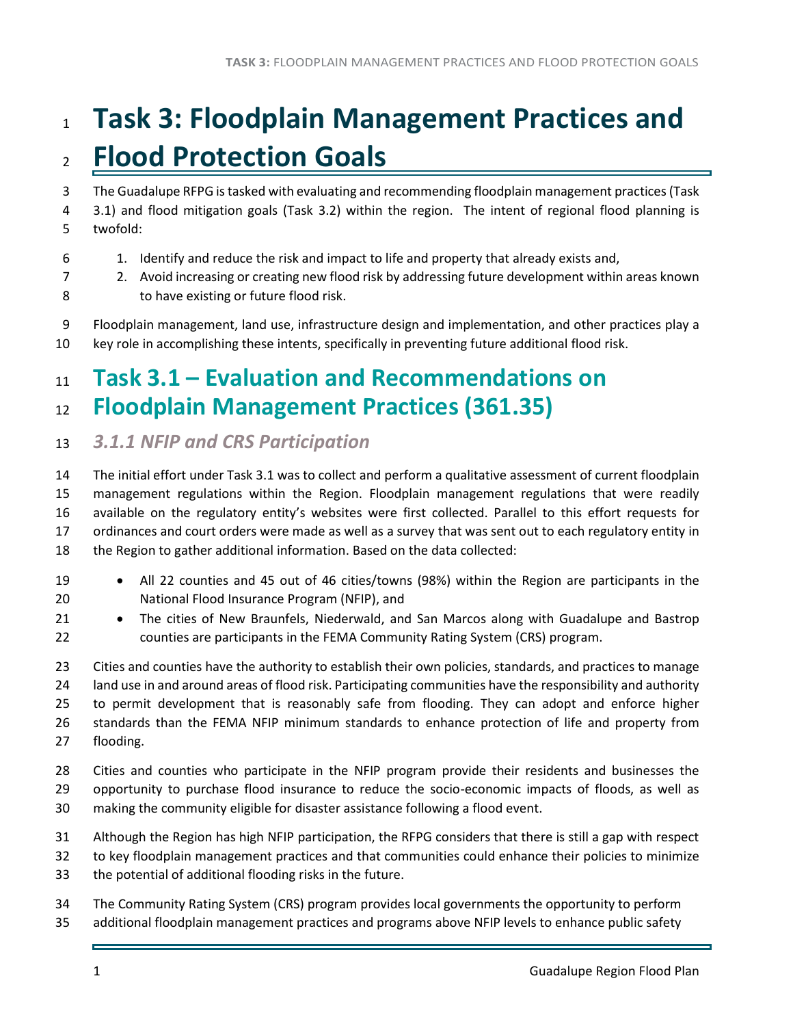# <span id="page-1-0"></span> **Task 3: Floodplain Management Practices and Flood Protection Goals**

 The Guadalupe RFPG is tasked with evaluating and recommending floodplain management practices (Task 3.1) and flood mitigation goals (Task 3.2) within the region. The intent of regional flood planning is

- twofold:
- 1. Identify and reduce the risk and impact to life and property that already exists and,
- 2. Avoid increasing or creating new flood risk by addressing future development within areas known to have existing or future flood risk.
- Floodplain management, land use, infrastructure design and implementation, and other practices play a key role in accomplishing these intents, specifically in preventing future additional flood risk.

## <span id="page-1-1"></span> **Task 3.1 – Evaluation and Recommendations on Floodplain Management Practices (361.35)**

<span id="page-1-2"></span>*3.1.1 NFIP and CRS Participation* 

 The initial effort under Task 3.1 was to collect and perform a qualitative assessment of current floodplain management regulations within the Region. Floodplain management regulations that were readily available on the regulatory entity's websites were first collected. Parallel to this effort requests for ordinances and court orders were made as well as a survey that was sent out to each regulatory entity in the Region to gather additional information. Based on the data collected:

- All 22 counties and 45 out of 46 cities/towns (98%) within the Region are participants in the National Flood Insurance Program (NFIP), and
- 21 The cities of New Braunfels, Niederwald, and San Marcos along with Guadalupe and Bastrop counties are participants in the FEMA Community Rating System (CRS) program.

 Cities and counties have the authority to establish their own policies, standards, and practices to manage land use in and around areas of flood risk. Participating communities have the responsibility and authority to permit development that is reasonably safe from flooding. They can adopt and enforce higher standards than the FEMA NFIP minimum standards to enhance protection of life and property from flooding.

- Cities and counties who participate in the NFIP program provide their residents and businesses the 29 opportunity to purchase flood insurance to reduce the socio-economic impacts of floods, as well as making the community eligible for disaster assistance following a flood event.
- Although the Region has high NFIP participation, the RFPG considers that there is still a gap with respect to key floodplain management practices and that communities could enhance their policies to minimize
- the potential of additional flooding risks in the future.
- The Community Rating System (CRS) program provides local governments the opportunity to perform
- additional floodplain management practices and programs above NFIP levels to enhance public safety

Н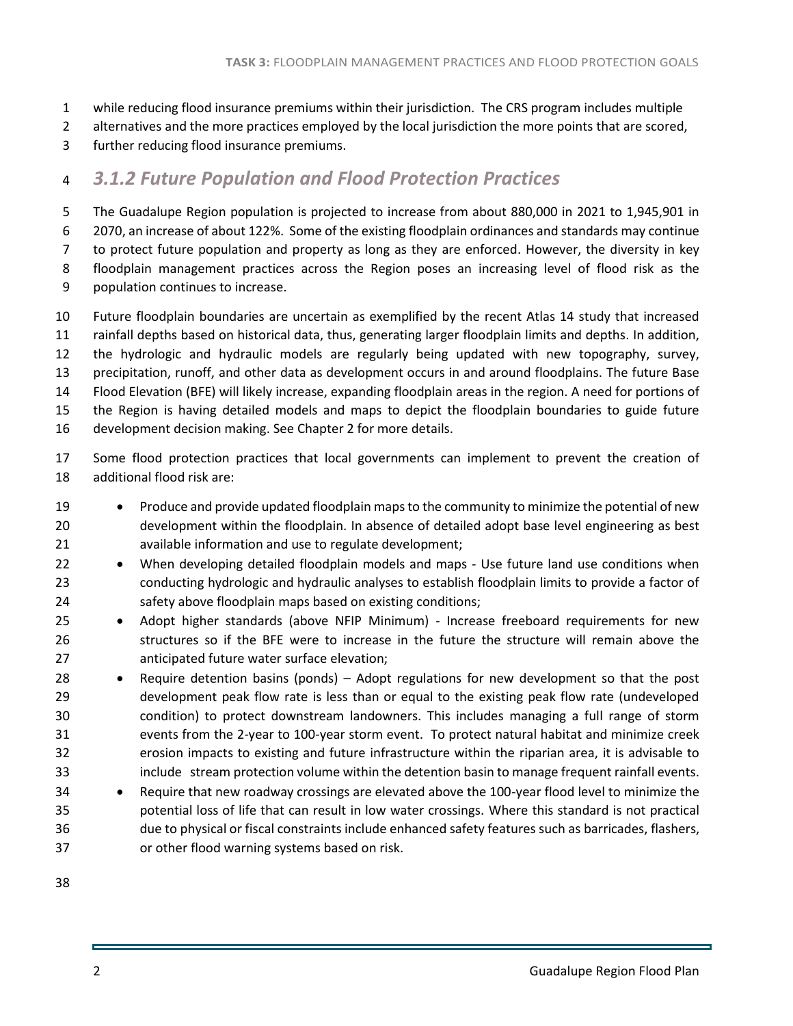- while reducing flood insurance premiums within their jurisdiction. The CRS program includes multiple
- 2 alternatives and the more practices employed by the local jurisdiction the more points that are scored,
- further reducing flood insurance premiums.

### <span id="page-2-0"></span>*3.1.2 Future Population and Flood Protection Practices*

 The Guadalupe Region population is projected to increase from about 880,000 in 2021 to 1,945,901 in 2070, an increase of about 122%. Some of the existing floodplain ordinances and standards may continue to protect future population and property as long as they are enforced. However, the diversity in key floodplain management practices across the Region poses an increasing level of flood risk as the population continues to increase.

- Future floodplain boundaries are uncertain as exemplified by the recent Atlas 14 study that increased rainfall depths based on historical data, thus, generating larger floodplain limits and depths. In addition, the hydrologic and hydraulic models are regularly being updated with new topography, survey, precipitation, runoff, and other data as development occurs in and around floodplains. The future Base Flood Elevation (BFE) will likely increase, expanding floodplain areas in the region. A need for portions of the Region is having detailed models and maps to depict the floodplain boundaries to guide future development decision making. See Chapter 2 for more details.
- Some flood protection practices that local governments can implement to prevent the creation of additional flood risk are:
- 19 Produce and provide updated floodplain maps to the community to minimize the potential of new development within the floodplain. In absence of detailed adopt base level engineering as best available information and use to regulate development;
- 22 When developing detailed floodplain models and maps Use future land use conditions when conducting hydrologic and hydraulic analyses to establish floodplain limits to provide a factor of safety above floodplain maps based on existing conditions;
- Adopt higher standards (above NFIP Minimum) Increase freeboard requirements for new structures so if the BFE were to increase in the future the structure will remain above the anticipated future water surface elevation;
- Require detention basins (ponds) Adopt regulations for new development so that the post development peak flow rate is less than or equal to the existing peak flow rate (undeveloped condition) to protect downstream landowners. This includes managing a full range of storm events from the 2-year to 100-year storm event. To protect natural habitat and minimize creek erosion impacts to existing and future infrastructure within the riparian area, it is advisable to include stream protection volume within the detention basin to manage frequent rainfall events.
- <span id="page-2-1"></span> • Require that new roadway crossings are elevated above the 100-year flood level to minimize the potential loss of life that can result in low water crossings. Where this standard is not practical due to physical or fiscal constraints include enhanced safety features such as barricades, flashers, or other flood warning systems based on risk.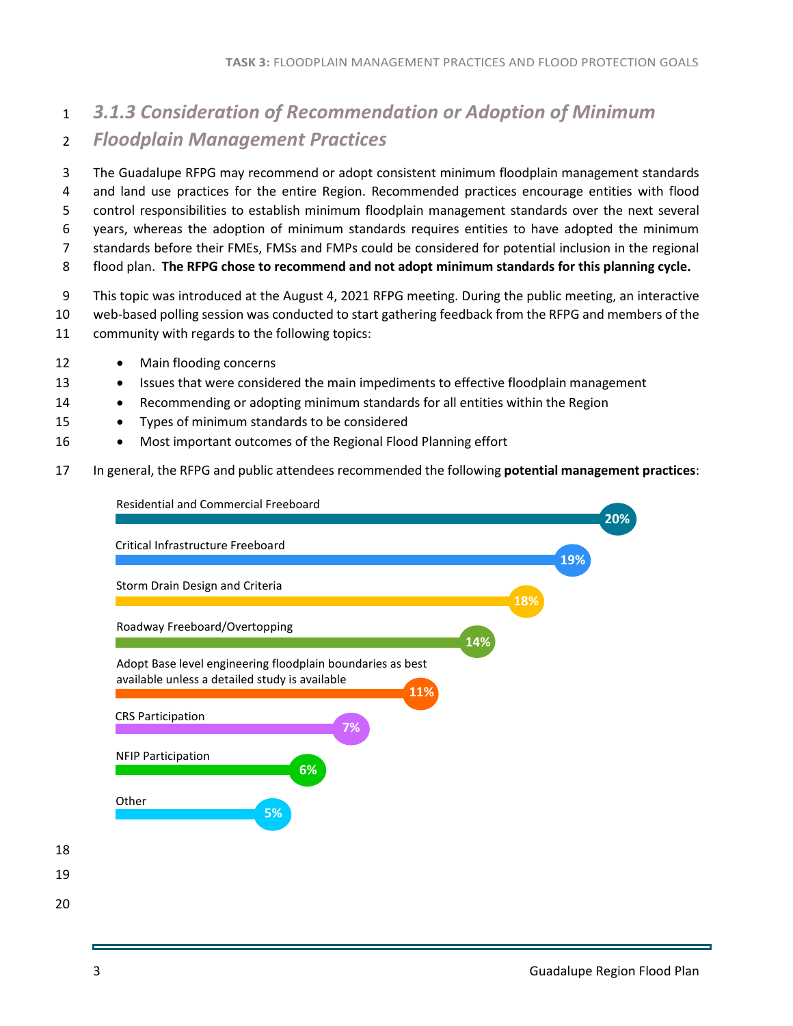## <sup>1</sup> *3.1.3 Consideration of Recommendation or Adoption of Minimum*  <sup>2</sup> *Floodplain Management Practices*

 The Guadalupe RFPG may recommend or adopt consistent minimum floodplain management standards and land use practices for the entire Region. Recommended practices encourage entities with flood control responsibilities to establish minimum floodplain management standards over the next several years, whereas the adoption of minimum standards requires entities to have adopted the minimum standards before their FMEs, FMSs and FMPs could be considered for potential inclusion in the regional flood plan. **The RFPG chose to recommend and not adopt minimum standards for this planning cycle.**

- 9 This topic was introduced at the August 4, 2021 RFPG meeting. During the public meeting, an interactive
- 10 web-based polling session was conducted to start gathering feedback from the RFPG and members of the
- 11 community with regards to the following topics:
- 12 Main flooding concerns
- 13 Issues that were considered the main impediments to effective floodplain management
- 14 Recommending or adopting minimum standards for all entities within the Region
- 15 Types of minimum standards to be considered
- 16 Most important outcomes of the Regional Flood Planning effort
- 17 In general, the RFPG and public attendees recommended the following **potential management practices**:

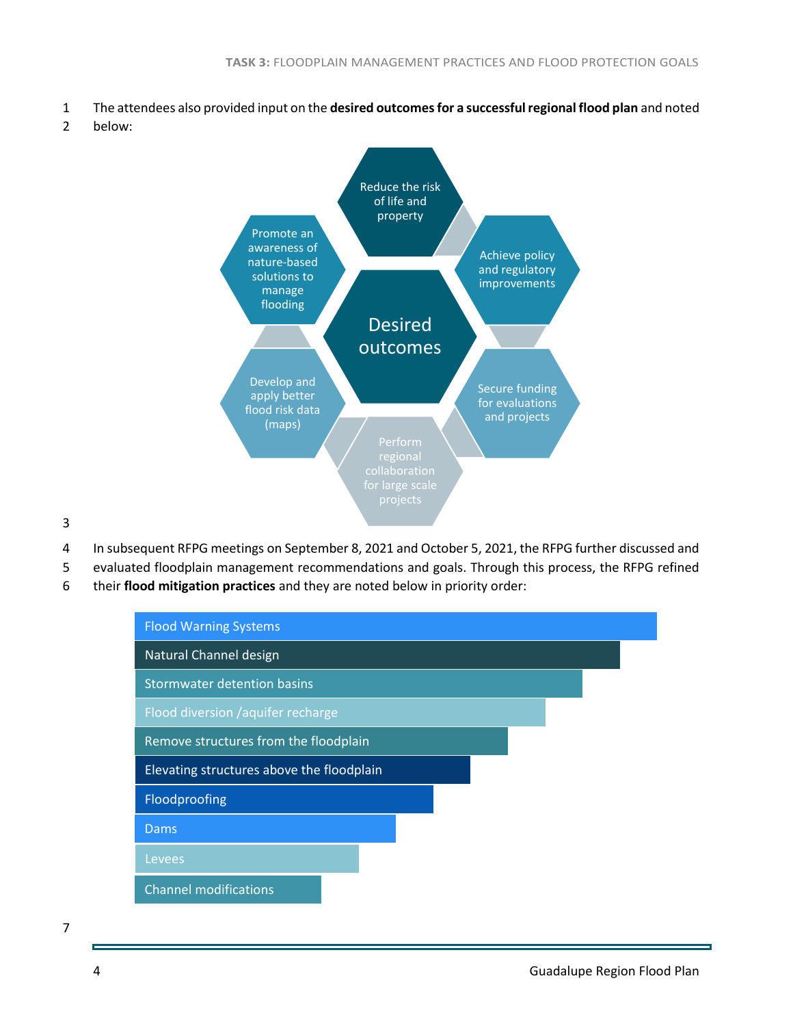- 1 The attendees also provided input on the **desired outcomes for a successful regional flood plan** and noted
- 2 below:



3

- 4 In subsequent RFPG meetings on September 8, 2021 and October 5, 2021, the RFPG further discussed and
- 5 evaluated floodplain management recommendations and goals. Through this process, the RFPG refined
- 6 their **flood mitigation practices** and they are noted below in priority order:

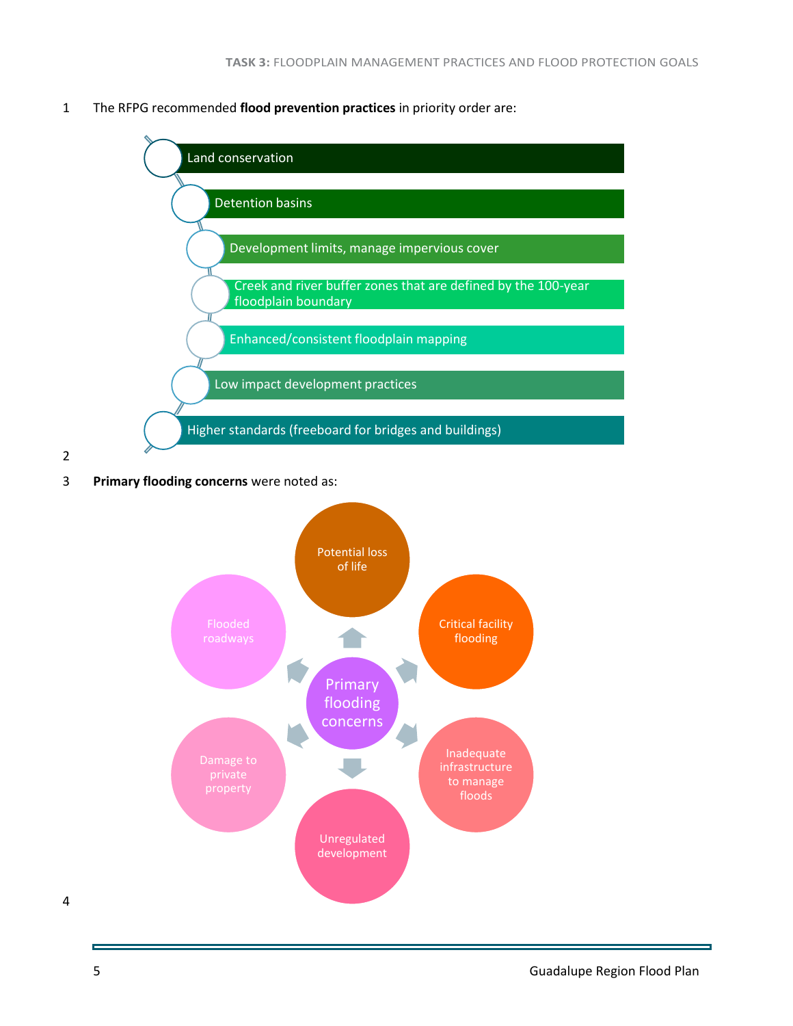1 The RFPG recommended **flood prevention practices** in priority order are:



2

3 **Primary flooding concerns** were noted as:

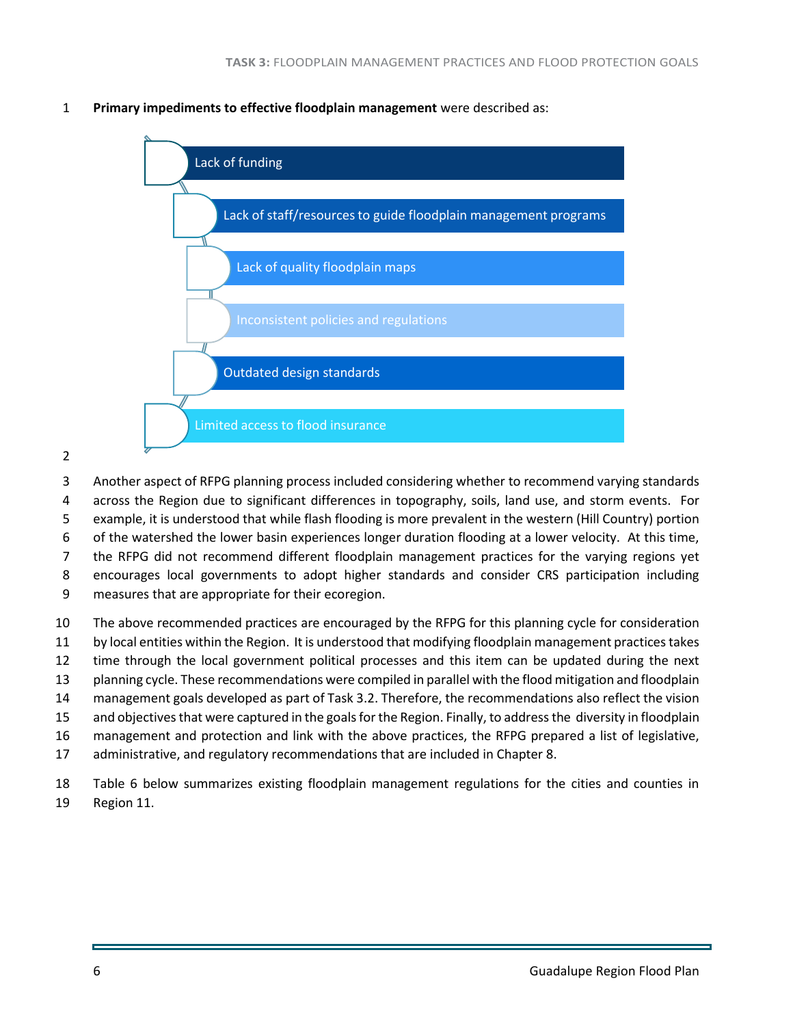**Primary impediments to effective floodplain management** were described as:



- Another aspect of RFPG planning process included considering whether to recommend varying standards across the Region due to significant differences in topography, soils, land use, and storm events. For example, it is understood that while flash flooding is more prevalent in the western (Hill Country) portion of the watershed the lower basin experiences longer duration flooding at a lower velocity. At this time, the RFPG did not recommend different floodplain management practices for the varying regions yet encourages local governments to adopt higher standards and consider CRS participation including measures that are appropriate for their ecoregion.
- The above recommended practices are encouraged by the RFPG for this planning cycle for consideration by local entities within the Region. It is understood that modifying floodplain management practices takes time through the local government political processes and this item can be updated during the next planning cycle. These recommendations were compiled in parallel with the flood mitigation and floodplain management goals developed as part of Task 3.2. Therefore, the recommendations also reflect the vision and objectives that were captured in the goals for the Region. Finally, to address the diversity in floodplain management and protection and link with the above practices, the RFPG prepared a list of legislative, administrative, and regulatory recommendations that are included in Chapter 8.
- Table 6 below summarizes existing floodplain management regulations for the cities and counties in Region 11.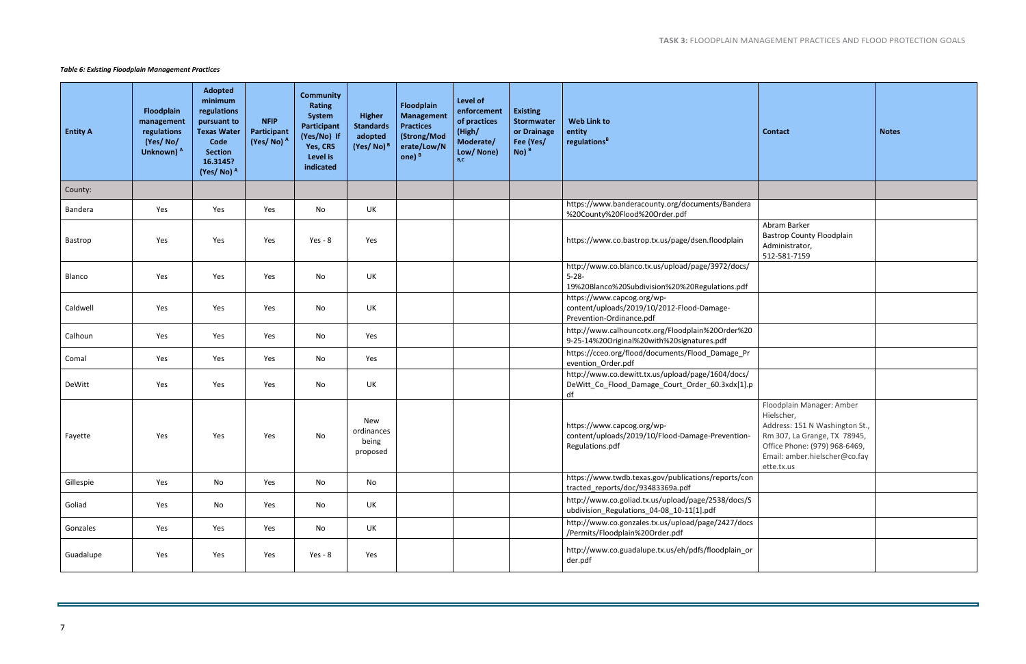|                                | <b>Contact</b>                                                                                                                                                                            | <b>Notes</b> |
|--------------------------------|-------------------------------------------------------------------------------------------------------------------------------------------------------------------------------------------|--------------|
|                                |                                                                                                                                                                                           |              |
| a                              |                                                                                                                                                                                           |              |
|                                | Abram Barker<br><b>Bastrop County Floodplain</b><br>Administrator,<br>512-581-7159                                                                                                        |              |
| $\overline{1}$<br>f            |                                                                                                                                                                                           |              |
|                                |                                                                                                                                                                                           |              |
| $\overline{0}$                 |                                                                                                                                                                                           |              |
| 'n                             |                                                                                                                                                                                           |              |
| $\overline{\phantom{a}}$<br>.p |                                                                                                                                                                                           |              |
| $\overline{ }$                 | Floodplain Manager: Amber<br>Hielscher,<br>Address: 151 N Washington St.,<br>Rm 307, La Grange, TX 78945,<br>Office Phone: (979) 968-6469,<br>Email: amber.hielscher@co.fay<br>ette.tx.us |              |
| วท                             |                                                                                                                                                                                           |              |
| 'S                             |                                                                                                                                                                                           |              |
| СS                             |                                                                                                                                                                                           |              |
| or                             |                                                                                                                                                                                           |              |
|                                |                                                                                                                                                                                           |              |

#### <span id="page-7-0"></span>*Table 6: Existing Floodplain Management Practices*

| <b>Entity A</b> | <b>Floodplain</b><br>management<br>regulations<br>(Yes/No/<br>Unknown) A | <b>Adopted</b><br>minimum<br>regulations<br>pursuant to<br><b>Texas Water</b><br>Code<br><b>Section</b><br>16.3145?<br>(Yes/No) A | <b>NFIP</b><br>Participant<br>(Yes/No) A | <b>Community</b><br><b>Rating</b><br><b>System</b><br>Participant<br>(Yes/No) If<br>Yes, CRS<br>Level is<br>indicated | <b>Higher</b><br><b>Standards</b><br>adopted<br>$(Yes/No)^B$ | <b>Floodplain</b><br><b>Management</b><br><b>Practices</b><br>(Strong/Mod<br>erate/Low/N<br>one) <sup>B</sup> | <b>Level of</b><br>enforcement<br>of practices<br>(High/<br>Moderate/<br>Low/ None)<br>B,C | <b>Existing</b><br>Stormwater<br>or Drainage<br>Fee (Yes/<br>$No)$ <sup>B</sup> | <b>Web Link to</b><br>entity<br>regulations <sup>B</sup>                                                          |
|-----------------|--------------------------------------------------------------------------|-----------------------------------------------------------------------------------------------------------------------------------|------------------------------------------|-----------------------------------------------------------------------------------------------------------------------|--------------------------------------------------------------|---------------------------------------------------------------------------------------------------------------|--------------------------------------------------------------------------------------------|---------------------------------------------------------------------------------|-------------------------------------------------------------------------------------------------------------------|
| County:         |                                                                          |                                                                                                                                   |                                          |                                                                                                                       |                                                              |                                                                                                               |                                                                                            |                                                                                 |                                                                                                                   |
| Bandera         | Yes                                                                      | Yes                                                                                                                               | Yes                                      | No                                                                                                                    | UK                                                           |                                                                                                               |                                                                                            |                                                                                 | https://www.banderacounty.org/documents/Bandera<br>%20County%20Flood%20Order.pdf                                  |
| Bastrop         | Yes                                                                      | Yes                                                                                                                               | Yes                                      | $Yes - 8$                                                                                                             | Yes                                                          |                                                                                                               |                                                                                            |                                                                                 | https://www.co.bastrop.tx.us/page/dsen.floodplain                                                                 |
| Blanco          | Yes                                                                      | Yes                                                                                                                               | Yes                                      | No                                                                                                                    | UK                                                           |                                                                                                               |                                                                                            |                                                                                 | http://www.co.blanco.tx.us/upload/page/3972/docs/<br>$5 - 28 -$<br>19%20Blanco%20Subdivision%20%20Regulations.pdf |
| Caldwell        | Yes                                                                      | Yes                                                                                                                               | Yes                                      | No                                                                                                                    | UK                                                           |                                                                                                               |                                                                                            |                                                                                 | https://www.capcog.org/wp-<br>content/uploads/2019/10/2012-Flood-Damage-<br>Prevention-Ordinance.pdf              |
| Calhoun         | Yes                                                                      | Yes                                                                                                                               | Yes                                      | No                                                                                                                    | Yes                                                          |                                                                                                               |                                                                                            |                                                                                 | http://www.calhouncotx.org/Floodplain%20Order%20<br>9-25-14%20Original%20with%20signatures.pdf                    |
| Comal           | Yes                                                                      | Yes                                                                                                                               | Yes                                      | No                                                                                                                    | Yes                                                          |                                                                                                               |                                                                                            |                                                                                 | https://cceo.org/flood/documents/Flood_Damage_Pr<br>evention_Order.pdf                                            |
| DeWitt          | Yes                                                                      | Yes                                                                                                                               | Yes                                      | No                                                                                                                    | UK                                                           |                                                                                                               |                                                                                            |                                                                                 | http://www.co.dewitt.tx.us/upload/page/1604/docs/<br>DeWitt_Co_Flood_Damage_Court_Order_60.3xdx[1].p<br>df        |
| Fayette         | Yes                                                                      | Yes                                                                                                                               | Yes                                      | No                                                                                                                    | New<br>ordinances<br>being<br>proposed                       |                                                                                                               |                                                                                            |                                                                                 | https://www.capcog.org/wp-<br>content/uploads/2019/10/Flood-Damage-Prevention-<br>Regulations.pdf                 |
| Gillespie       | Yes                                                                      | No                                                                                                                                | Yes                                      | No                                                                                                                    | No                                                           |                                                                                                               |                                                                                            |                                                                                 | https://www.twdb.texas.gov/publications/reports/con<br>tracted_reports/doc/93483369a.pdf                          |
| Goliad          | Yes                                                                      | No                                                                                                                                | Yes                                      | No                                                                                                                    | UK                                                           |                                                                                                               |                                                                                            |                                                                                 | http://www.co.goliad.tx.us/upload/page/2538/docs/S<br>ubdivision Regulations 04-08 10-11[1].pdf                   |
| Gonzales        | Yes                                                                      | Yes                                                                                                                               | Yes                                      | No                                                                                                                    | UK                                                           |                                                                                                               |                                                                                            |                                                                                 | http://www.co.gonzales.tx.us/upload/page/2427/docs<br>/Permits/Floodplain%20Order.pdf                             |
| Guadalupe       | Yes                                                                      | Yes                                                                                                                               | Yes                                      | $Yes - 8$                                                                                                             | Yes                                                          |                                                                                                               |                                                                                            |                                                                                 | http://www.co.guadalupe.tx.us/eh/pdfs/floodplain_or<br>der.pdf                                                    |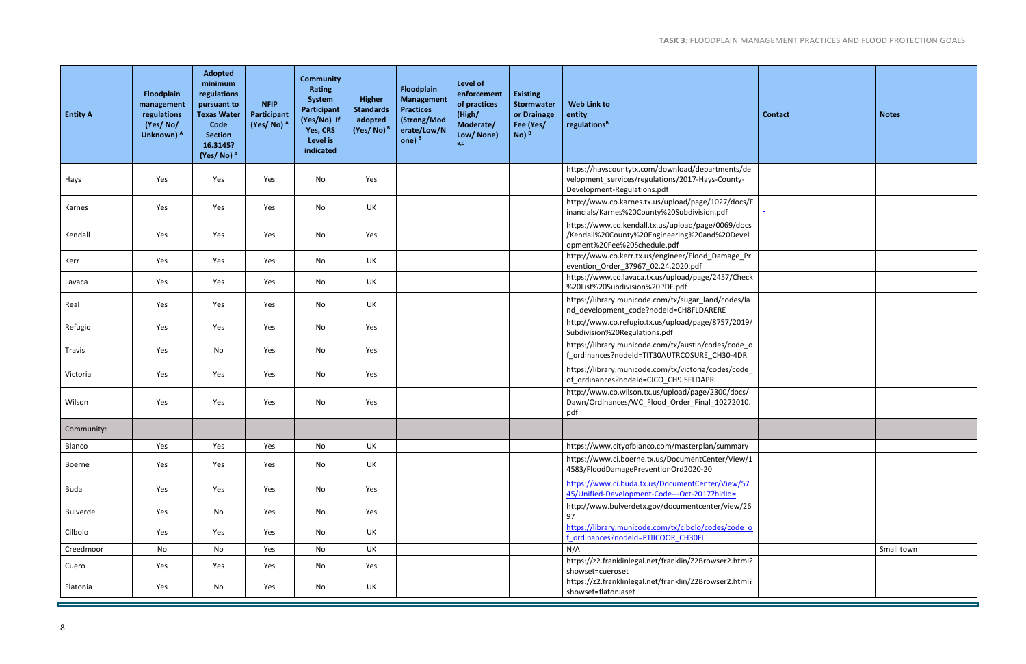| <b>Contact</b> | <b>Notes</b> |
|----------------|--------------|
|                |              |
| $\blacksquare$ |              |
|                |              |
|                |              |
|                |              |
|                |              |
|                |              |
|                |              |
|                |              |
|                |              |
|                |              |
|                |              |
|                |              |
|                |              |
|                |              |
|                |              |
|                | Small town   |
|                |              |
|                |              |

| <b>Entity A</b> | Floodplain<br>management<br>regulations<br>(Yes/No/<br>Unknown) A | <b>Adopted</b><br>minimum<br>regulations<br>pursuant to<br><b>Texas Water</b><br>Code<br><b>Section</b><br>16.3145?<br>(Yes/No) A | <b>NFIP</b><br>Participant<br>(Yes/No) <sup>A</sup> | <b>Community</b><br>Rating<br>System<br>Participant<br>(Yes/No) If<br>Yes, CRS<br>Level is<br>indicated | Higher<br><b>Standards</b><br>adopted<br>(Yes/No) <sup>B</sup> | Floodplain<br><b>Management</b><br><b>Practices</b><br>(Strong/Mod<br>erate/Low/N<br>one) $B$ | <b>Level of</b><br>enforcement<br>of practices<br>(High/<br>Moderate/<br>Low/None)<br>B,C | <b>Existing</b><br>Stormwater<br>or Drainage<br>Fee (Yes/<br>$No)$ <sup>B</sup> | <b>Web Link to</b><br>entity<br>regulations <sup>B</sup>                                                                            | <b>Contact</b> | <b>Notes</b> |
|-----------------|-------------------------------------------------------------------|-----------------------------------------------------------------------------------------------------------------------------------|-----------------------------------------------------|---------------------------------------------------------------------------------------------------------|----------------------------------------------------------------|-----------------------------------------------------------------------------------------------|-------------------------------------------------------------------------------------------|---------------------------------------------------------------------------------|-------------------------------------------------------------------------------------------------------------------------------------|----------------|--------------|
| Hays            | Yes                                                               | Yes                                                                                                                               | Yes                                                 | No                                                                                                      | Yes                                                            |                                                                                               |                                                                                           |                                                                                 | https://hayscountytx.com/download/departments/de<br>velopment services/regulations/2017-Hays-County-<br>Development-Regulations.pdf |                |              |
| Karnes          | Yes                                                               | Yes                                                                                                                               | Yes                                                 | No                                                                                                      | UK                                                             |                                                                                               |                                                                                           |                                                                                 | http://www.co.karnes.tx.us/upload/page/1027/docs/F<br>inancials/Karnes%20County%20Subdivision.pdf                                   |                |              |
| Kendall         | Yes                                                               | Yes                                                                                                                               | Yes                                                 | No                                                                                                      | Yes                                                            |                                                                                               |                                                                                           |                                                                                 | https://www.co.kendall.tx.us/upload/page/0069/docs<br>/Kendall%20County%20Engineering%20and%20Devel<br>opment%20Fee%20Schedule.pdf  |                |              |
| Kerr            | Yes                                                               | Yes                                                                                                                               | Yes                                                 | No                                                                                                      | UK                                                             |                                                                                               |                                                                                           |                                                                                 | http://www.co.kerr.tx.us/engineer/Flood_Damage_Pr<br>evention_Order_37967_02.24.2020.pdf                                            |                |              |
| Lavaca          | Yes                                                               | Yes                                                                                                                               | Yes                                                 | No                                                                                                      | UK                                                             |                                                                                               |                                                                                           |                                                                                 | https://www.co.lavaca.tx.us/upload/page/2457/Check<br>%20List%20Subdivision%20PDF.pdf                                               |                |              |
| Real            | Yes                                                               | Yes                                                                                                                               | Yes                                                 | No                                                                                                      | UK                                                             |                                                                                               |                                                                                           |                                                                                 | https://library.municode.com/tx/sugar_land/codes/la<br>nd_development_code?nodeId=CH8FLDARERE                                       |                |              |
| Refugio         | Yes                                                               | Yes                                                                                                                               | Yes                                                 | No                                                                                                      | Yes                                                            |                                                                                               |                                                                                           |                                                                                 | http://www.co.refugio.tx.us/upload/page/8757/2019/<br>Subdivision%20Regulations.pdf                                                 |                |              |
| Travis          | Yes                                                               | No                                                                                                                                | Yes                                                 | No                                                                                                      | Yes                                                            |                                                                                               |                                                                                           |                                                                                 | https://library.municode.com/tx/austin/codes/code_o<br>f_ordinances?nodeId=TIT30AUTRCOSURE_CH30-4DR                                 |                |              |
| Victoria        | Yes                                                               | Yes                                                                                                                               | Yes                                                 | No                                                                                                      | Yes                                                            |                                                                                               |                                                                                           |                                                                                 | https://library.municode.com/tx/victoria/codes/code_<br>of_ordinances?nodeId=CICO_CH9.5FLDAPR                                       |                |              |
| Wilson          | Yes                                                               | Yes                                                                                                                               | Yes                                                 | No                                                                                                      | Yes                                                            |                                                                                               |                                                                                           |                                                                                 | http://www.co.wilson.tx.us/upload/page/2300/docs/<br>Dawn/Ordinances/WC_Flood_Order_Final_10272010.<br>pdf                          |                |              |
| Community:      |                                                                   |                                                                                                                                   |                                                     |                                                                                                         |                                                                |                                                                                               |                                                                                           |                                                                                 |                                                                                                                                     |                |              |
| Blanco          | Yes                                                               | Yes                                                                                                                               | Yes                                                 | No                                                                                                      | UK                                                             |                                                                                               |                                                                                           |                                                                                 | https://www.cityofblanco.com/masterplan/summary                                                                                     |                |              |
| Boerne          | Yes                                                               | Yes                                                                                                                               | Yes                                                 | No                                                                                                      | UK                                                             |                                                                                               |                                                                                           |                                                                                 | https://www.ci.boerne.tx.us/DocumentCenter/View/1<br>4583/FloodDamagePreventionOrd2020-20                                           |                |              |
| Buda            | Yes                                                               | Yes                                                                                                                               | Yes                                                 | No                                                                                                      | Yes                                                            |                                                                                               |                                                                                           |                                                                                 | https://www.ci.buda.tx.us/DocumentCenter/View/57<br>45/Unified-Development-Code---Oct-2017?bidId=                                   |                |              |
| Bulverde        | Yes                                                               | No                                                                                                                                | Yes                                                 | No                                                                                                      | Yes                                                            |                                                                                               |                                                                                           |                                                                                 | http://www.bulverdetx.gov/documentcenter/view/26<br>97                                                                              |                |              |
| Cilbolo         | Yes                                                               | Yes                                                                                                                               | Yes                                                 | No                                                                                                      | UK                                                             |                                                                                               |                                                                                           |                                                                                 | https://library.municode.com/tx/cibolo/codes/code_o<br>f ordinances?nodeld=PTIICOOR CH30FL                                          |                |              |
| Creedmoor       | No                                                                | No                                                                                                                                | Yes                                                 | No                                                                                                      | UK                                                             |                                                                                               |                                                                                           |                                                                                 | N/A                                                                                                                                 |                | Small town   |
| Cuero           | Yes                                                               | Yes                                                                                                                               | Yes                                                 | No                                                                                                      | Yes                                                            |                                                                                               |                                                                                           |                                                                                 | https://z2.franklinlegal.net/franklin/Z2Browser2.html?<br>showset=cueroset                                                          |                |              |
| Flatonia        | Yes                                                               | No                                                                                                                                | Yes                                                 | No                                                                                                      | UK                                                             |                                                                                               |                                                                                           |                                                                                 | https://z2.franklinlegal.net/franklin/Z2Browser2.html?<br>showset=flatoniaset                                                       |                |              |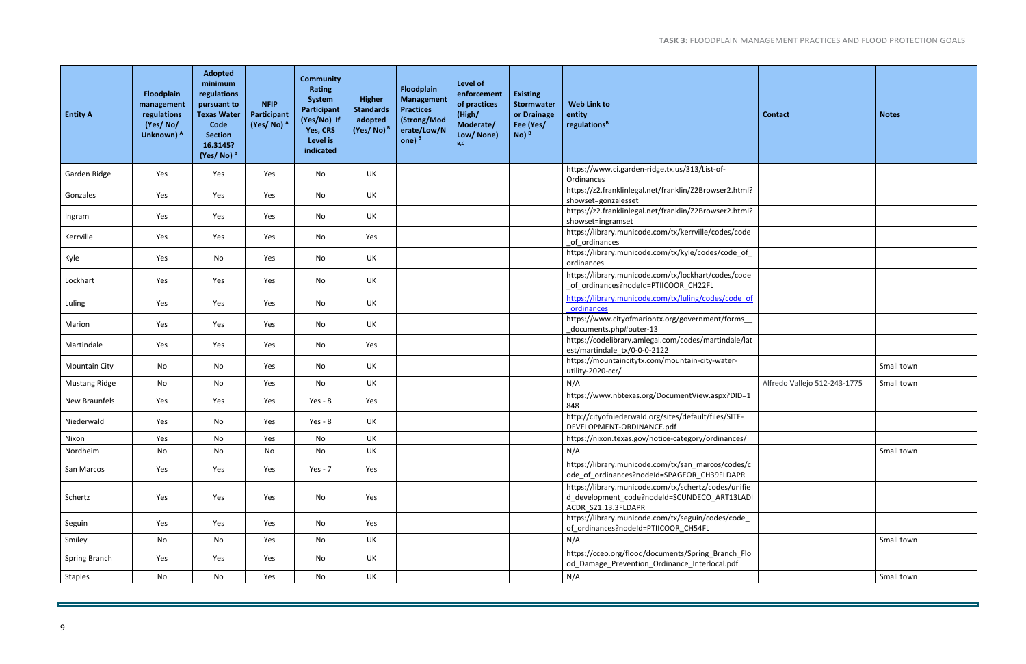| <b>Contact</b>               | <b>Notes</b> |
|------------------------------|--------------|
|                              |              |
|                              |              |
|                              |              |
|                              |              |
|                              |              |
|                              |              |
|                              |              |
|                              |              |
|                              |              |
|                              | Small town   |
| Alfredo Vallejo 512-243-1775 | Small town   |
|                              |              |
|                              |              |
|                              | Small town   |
|                              |              |
|                              |              |
|                              |              |
|                              |              |
|                              | Small town   |
|                              |              |
|                              | Small town   |

| <b>Entity A</b>      | Floodplain<br>management<br>regulations<br>(Yes/No/<br>Unknown) A | <b>Adopted</b><br>minimum<br>regulations<br>pursuant to<br><b>Texas Water</b><br>Code<br><b>Section</b><br>16.3145?<br>(Yes/No) A | <b>NFIP</b><br>Participant<br>(Yes/No) <sup>A</sup> | <b>Community</b><br>Rating<br>System<br>Participant<br>(Yes/No) If<br>Yes, CRS<br>Level is<br>indicated | Higher<br><b>Standards</b><br>adopted<br>(Yes/No) <sup>B</sup> | Floodplain<br><b>Management</b><br><b>Practices</b><br>(Strong/Mod<br>erate/Low/N<br>one) $B$ | Level of<br>enforcement<br>of practices<br>(High/<br>Moderate/<br>Low/ None)<br>B,C | <b>Existing</b><br><b>Stormwater</b><br>or Drainage<br>Fee (Yes/<br>$No)$ <sup>B</sup> | <b>Web Link to</b><br>entity<br>regulations <sup>B</sup>                                                                    | <b>Contact</b>               | <b>Notes</b> |
|----------------------|-------------------------------------------------------------------|-----------------------------------------------------------------------------------------------------------------------------------|-----------------------------------------------------|---------------------------------------------------------------------------------------------------------|----------------------------------------------------------------|-----------------------------------------------------------------------------------------------|-------------------------------------------------------------------------------------|----------------------------------------------------------------------------------------|-----------------------------------------------------------------------------------------------------------------------------|------------------------------|--------------|
| Garden Ridge         | Yes                                                               | Yes                                                                                                                               | Yes                                                 | No                                                                                                      | UK                                                             |                                                                                               |                                                                                     |                                                                                        | https://www.ci.garden-ridge.tx.us/313/List-of-<br>Ordinances                                                                |                              |              |
| Gonzales             | Yes                                                               | Yes                                                                                                                               | Yes                                                 | No                                                                                                      | UK                                                             |                                                                                               |                                                                                     |                                                                                        | https://z2.franklinlegal.net/franklin/Z2Browser2.html?<br>showset=gonzalesset                                               |                              |              |
| Ingram               | Yes                                                               | Yes                                                                                                                               | Yes                                                 | No                                                                                                      | UK                                                             |                                                                                               |                                                                                     |                                                                                        | https://z2.franklinlegal.net/franklin/Z2Browser2.html?<br>showset=ingramset                                                 |                              |              |
| Kerrville            | Yes                                                               | Yes                                                                                                                               | Yes                                                 | No                                                                                                      | Yes                                                            |                                                                                               |                                                                                     |                                                                                        | https://library.municode.com/tx/kerrville/codes/code<br>of ordinances                                                       |                              |              |
| Kyle                 | Yes                                                               | No                                                                                                                                | Yes                                                 | No                                                                                                      | UK                                                             |                                                                                               |                                                                                     |                                                                                        | https://library.municode.com/tx/kyle/codes/code of<br>ordinances                                                            |                              |              |
| Lockhart             | Yes                                                               | Yes                                                                                                                               | Yes                                                 | No                                                                                                      | UK                                                             |                                                                                               |                                                                                     |                                                                                        | https://library.municode.com/tx/lockhart/codes/code<br>_of_ordinances?nodeId=PTIICOOR_CH22FL                                |                              |              |
| Luling               | Yes                                                               | Yes                                                                                                                               | Yes                                                 | No                                                                                                      | UK                                                             |                                                                                               |                                                                                     |                                                                                        | https://library.municode.com/tx/luling/codes/code of<br>ordinances                                                          |                              |              |
| Marion               | Yes                                                               | Yes                                                                                                                               | Yes                                                 | No                                                                                                      | UK                                                             |                                                                                               |                                                                                     |                                                                                        | https://www.cityofmariontx.org/government/forms<br>documents.php#outer-13                                                   |                              |              |
| Martindale           | Yes                                                               | Yes                                                                                                                               | Yes                                                 | No                                                                                                      | Yes                                                            |                                                                                               |                                                                                     |                                                                                        | https://codelibrary.amlegal.com/codes/martindale/lat<br>est/martindale_tx/0-0-0-2122                                        |                              |              |
| <b>Mountain City</b> | No                                                                | No                                                                                                                                | Yes                                                 | No                                                                                                      | UK                                                             |                                                                                               |                                                                                     |                                                                                        | https://mountaincitytx.com/mountain-city-water-<br>utility-2020-ccr/                                                        |                              | Small town   |
| <b>Mustang Ridge</b> | No                                                                | No                                                                                                                                | Yes                                                 | No                                                                                                      | UK                                                             |                                                                                               |                                                                                     |                                                                                        | N/A                                                                                                                         | Alfredo Vallejo 512-243-1775 | Small town   |
| New Braunfels        | Yes                                                               | Yes                                                                                                                               | Yes                                                 | $Yes - 8$                                                                                               | Yes                                                            |                                                                                               |                                                                                     |                                                                                        | https://www.nbtexas.org/DocumentView.aspx?DID=1<br>848                                                                      |                              |              |
| Niederwald           | Yes                                                               | No                                                                                                                                | Yes                                                 | $Yes - 8$                                                                                               | UK                                                             |                                                                                               |                                                                                     |                                                                                        | http://cityofniederwald.org/sites/default/files/SITE-<br>DEVELOPMENT-ORDINANCE.pdf                                          |                              |              |
| Nixon                | Yes                                                               | No                                                                                                                                | Yes                                                 | No                                                                                                      | UK                                                             |                                                                                               |                                                                                     |                                                                                        | https://nixon.texas.gov/notice-category/ordinances/                                                                         |                              |              |
| Nordheim             | No                                                                | No                                                                                                                                | No                                                  | No                                                                                                      | UK                                                             |                                                                                               |                                                                                     |                                                                                        | N/A                                                                                                                         |                              | Small town   |
| San Marcos           | Yes                                                               | Yes                                                                                                                               | Yes                                                 | $Yes - 7$                                                                                               | Yes                                                            |                                                                                               |                                                                                     |                                                                                        | https://library.municode.com/tx/san_marcos/codes/c<br>ode_of_ordinances?nodeId=SPAGEOR_CH39FLDAPR                           |                              |              |
| Schertz              | Yes                                                               | Yes                                                                                                                               | Yes                                                 | No                                                                                                      | Yes                                                            |                                                                                               |                                                                                     |                                                                                        | https://library.municode.com/tx/schertz/codes/unifie<br>d_development_code?nodeId=SCUNDECO_ART13LADI<br>ACDR_S21.13.3FLDAPR |                              |              |
| Seguin               | Yes                                                               | Yes                                                                                                                               | Yes                                                 | No                                                                                                      | Yes                                                            |                                                                                               |                                                                                     |                                                                                        | https://library.municode.com/tx/seguin/codes/code_<br>of_ordinances?nodeId=PTIICOOR_CH54FL                                  |                              |              |
| Smiley               | No                                                                | No                                                                                                                                | Yes                                                 | No                                                                                                      | UK                                                             |                                                                                               |                                                                                     |                                                                                        | N/A                                                                                                                         |                              | Small town   |
| Spring Branch        | Yes                                                               | Yes                                                                                                                               | Yes                                                 | No                                                                                                      | UK                                                             |                                                                                               |                                                                                     |                                                                                        | https://cceo.org/flood/documents/Spring_Branch_Flo<br>od_Damage_Prevention_Ordinance_Interlocal.pdf                         |                              |              |
| Staples              | No                                                                | No                                                                                                                                | Yes                                                 | No                                                                                                      | UK                                                             |                                                                                               |                                                                                     |                                                                                        | N/A                                                                                                                         |                              | Small town   |
|                      |                                                                   |                                                                                                                                   |                                                     |                                                                                                         |                                                                |                                                                                               |                                                                                     |                                                                                        |                                                                                                                             |                              |              |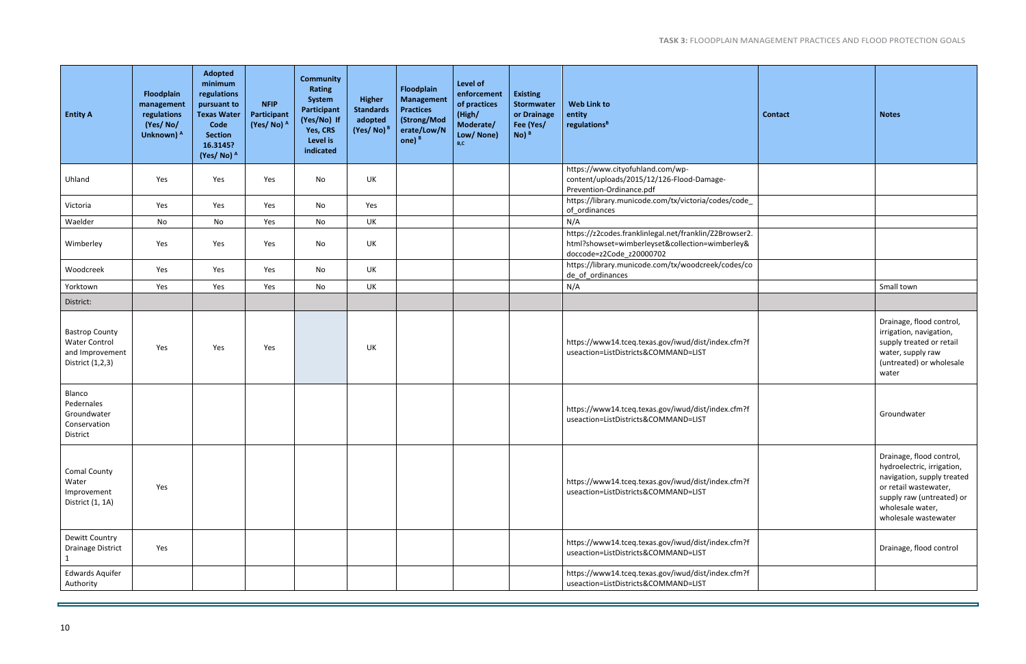| <b>Entity A</b>                                                                      | Floodplain<br>management<br>regulations<br>(Yes/No/<br>Unknown) <sup>A</sup> | Adopted<br>minimum<br>regulations<br>pursuant to<br><b>Texas Water</b><br>Code<br><b>Section</b><br>16.3145?<br>(Yes/No) A | <b>NFIP</b><br>Participant<br>(Yes/No) <sup>A</sup> | <b>Community</b><br>Rating<br>System<br>Participant<br>(Yes/No) If<br>Yes, CRS<br>Level is<br>indicated | <b>Higher</b><br><b>Standards</b><br>adopted<br>$(Yes/No)^B$ | Floodplain<br><b>Management</b><br><b>Practices</b><br>(Strong/Mod<br>erate/Low/N<br>one) $B$ | Level of<br>enforcement<br>of practices<br>(High/<br>Moderate/<br>Low/ None)<br>B.C | <b>Existing</b><br>Stormwater<br>or Drainage<br>Fee (Yes/<br>$No)$ <sup>B</sup> | <b>Web Link to</b><br>entity<br>regulations <sup>B</sup>                                                                              | <b>Contact</b> | <b>Notes</b>                                                                                                                                                                           |
|--------------------------------------------------------------------------------------|------------------------------------------------------------------------------|----------------------------------------------------------------------------------------------------------------------------|-----------------------------------------------------|---------------------------------------------------------------------------------------------------------|--------------------------------------------------------------|-----------------------------------------------------------------------------------------------|-------------------------------------------------------------------------------------|---------------------------------------------------------------------------------|---------------------------------------------------------------------------------------------------------------------------------------|----------------|----------------------------------------------------------------------------------------------------------------------------------------------------------------------------------------|
| Uhland                                                                               | Yes                                                                          | Yes                                                                                                                        | Yes                                                 | No                                                                                                      | UK                                                           |                                                                                               |                                                                                     |                                                                                 | https://www.cityofuhland.com/wp-<br>content/uploads/2015/12/126-Flood-Damage-<br>Prevention-Ordinance.pdf                             |                |                                                                                                                                                                                        |
| Victoria                                                                             | Yes                                                                          | Yes                                                                                                                        | Yes                                                 | No                                                                                                      | Yes                                                          |                                                                                               |                                                                                     |                                                                                 | https://library.municode.com/tx/victoria/codes/code_<br>of_ordinances                                                                 |                |                                                                                                                                                                                        |
| Waelder                                                                              | No                                                                           | No                                                                                                                         | Yes                                                 | No                                                                                                      | UK                                                           |                                                                                               |                                                                                     |                                                                                 | N/A                                                                                                                                   |                |                                                                                                                                                                                        |
| Wimberley                                                                            | Yes                                                                          | Yes                                                                                                                        | Yes                                                 | No                                                                                                      | UK                                                           |                                                                                               |                                                                                     |                                                                                 | https://z2codes.franklinlegal.net/franklin/Z2Browser2.<br>html?showset=wimberleyset&collection=wimberley&<br>doccode=z2Code_z20000702 |                |                                                                                                                                                                                        |
| Woodcreek                                                                            | Yes                                                                          | Yes                                                                                                                        | Yes                                                 | No                                                                                                      | UK                                                           |                                                                                               |                                                                                     |                                                                                 | https://library.municode.com/tx/woodcreek/codes/co<br>de_of_ordinances                                                                |                |                                                                                                                                                                                        |
| Yorktown                                                                             | Yes                                                                          | Yes                                                                                                                        | Yes                                                 | No                                                                                                      | UK                                                           |                                                                                               |                                                                                     |                                                                                 | N/A                                                                                                                                   |                | Small town                                                                                                                                                                             |
| District:                                                                            |                                                                              |                                                                                                                            |                                                     |                                                                                                         |                                                              |                                                                                               |                                                                                     |                                                                                 |                                                                                                                                       |                |                                                                                                                                                                                        |
| <b>Bastrop County</b><br><b>Water Control</b><br>and Improvement<br>District (1,2,3) | Yes                                                                          | Yes                                                                                                                        | Yes                                                 |                                                                                                         | UK                                                           |                                                                                               |                                                                                     |                                                                                 | https://www14.tceq.texas.gov/iwud/dist/index.cfm?f<br>useaction=ListDistricts&COMMAND=LIST                                            |                | Drainage, flood control,<br>irrigation, navigation,<br>supply treated or retail<br>water, supply raw<br>(untreated) or wholesale<br>water                                              |
| Blanco<br>Pedernales<br>Groundwater<br>Conservation<br>District                      |                                                                              |                                                                                                                            |                                                     |                                                                                                         |                                                              |                                                                                               |                                                                                     |                                                                                 | https://www14.tceq.texas.gov/iwud/dist/index.cfm?f<br>useaction=ListDistricts&COMMAND=LIST                                            |                | Groundwater                                                                                                                                                                            |
| <b>Comal County</b><br>Water<br>Improvement<br>District (1, 1A)                      | Yes                                                                          |                                                                                                                            |                                                     |                                                                                                         |                                                              |                                                                                               |                                                                                     |                                                                                 | https://www14.tceq.texas.gov/iwud/dist/index.cfm?f<br>useaction=ListDistricts&COMMAND=LIST                                            |                | Drainage, flood control,<br>hydroelectric, irrigation,<br>navigation, supply treated<br>or retail wastewater,<br>supply raw (untreated) or<br>wholesale water,<br>wholesale wastewater |
| Dewitt Country<br><b>Drainage District</b>                                           | Yes                                                                          |                                                                                                                            |                                                     |                                                                                                         |                                                              |                                                                                               |                                                                                     |                                                                                 | https://www14.tceq.texas.gov/iwud/dist/index.cfm?f<br>useaction=ListDistricts&COMMAND=LIST                                            |                | Drainage, flood control                                                                                                                                                                |
| <b>Edwards Aquifer</b><br>Authority                                                  |                                                                              |                                                                                                                            |                                                     |                                                                                                         |                                                              |                                                                                               |                                                                                     |                                                                                 | https://www14.tceq.texas.gov/iwud/dist/index.cfm?f<br>useaction=ListDistricts&COMMAND=LIST                                            |                |                                                                                                                                                                                        |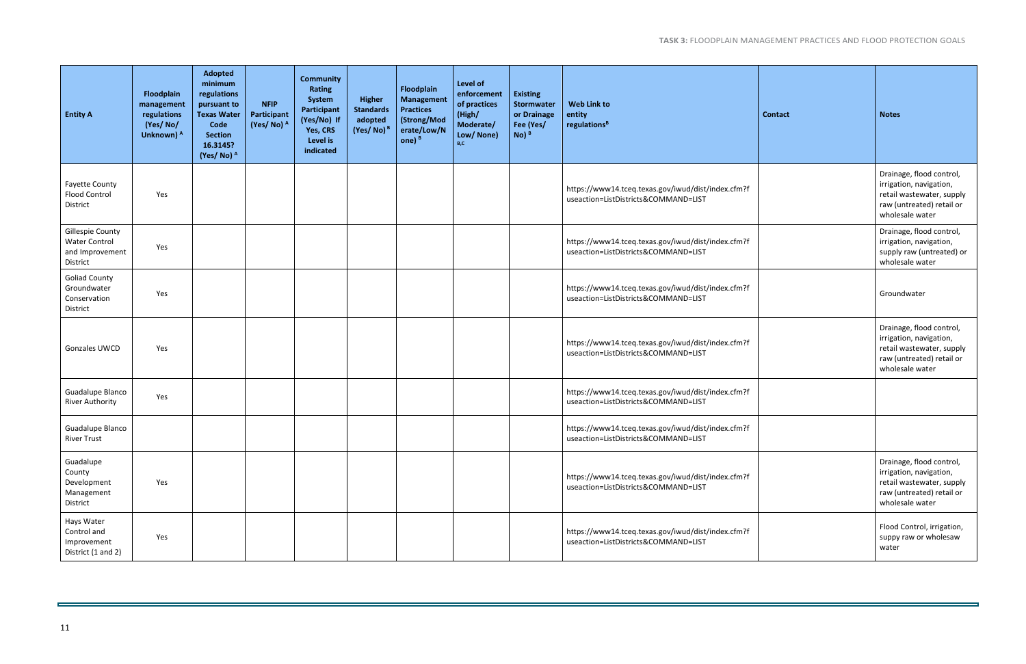| <b>Entity A</b>                                                         | Floodplain<br>management<br>regulations<br>(Yes/No/<br>Unknown) A | Adopted<br>minimum<br>regulations<br>pursuant to<br><b>Texas Water</b><br>Code<br><b>Section</b><br>16.3145?<br>(Yes/No) A | <b>NFIP</b><br>Participant<br>(Yes/No) A | <b>Community</b><br>Rating<br>System<br>Participant<br>(Yes/No) If<br>Yes, CRS<br>Level is<br>indicated | <b>Higher</b><br><b>Standards</b><br>adopted<br>$(Yes/No)^B$ | <b>Floodplain</b><br><b>Management</b><br><b>Practices</b><br>(Strong/Mod<br>erate/Low/N<br>one) $B$ | Level of<br>enforcement<br>of practices<br>(High/<br>Moderate/<br>Low/ None)<br>B,C | <b>Existing</b><br>Stormwater<br>or Drainage<br>Fee (Yes/<br>$No)$ <sup>B</sup> | <b>Web Link to</b><br>entity<br>regulations <sup>B</sup>                                   | <b>Contact</b> | <b>Notes</b>                                                                                                                     |
|-------------------------------------------------------------------------|-------------------------------------------------------------------|----------------------------------------------------------------------------------------------------------------------------|------------------------------------------|---------------------------------------------------------------------------------------------------------|--------------------------------------------------------------|------------------------------------------------------------------------------------------------------|-------------------------------------------------------------------------------------|---------------------------------------------------------------------------------|--------------------------------------------------------------------------------------------|----------------|----------------------------------------------------------------------------------------------------------------------------------|
| <b>Fayette County</b><br><b>Flood Control</b><br>District               | Yes                                                               |                                                                                                                            |                                          |                                                                                                         |                                                              |                                                                                                      |                                                                                     |                                                                                 | https://www14.tceq.texas.gov/iwud/dist/index.cfm?f<br>useaction=ListDistricts&COMMAND=LIST |                | Drainage, flood control,<br>irrigation, navigation,<br>retail wastewater, supply<br>raw (untreated) retail or<br>wholesale water |
| Gillespie County<br><b>Water Control</b><br>and Improvement<br>District | Yes                                                               |                                                                                                                            |                                          |                                                                                                         |                                                              |                                                                                                      |                                                                                     |                                                                                 | https://www14.tceq.texas.gov/iwud/dist/index.cfm?f<br>useaction=ListDistricts&COMMAND=LIST |                | Drainage, flood control,<br>irrigation, navigation,<br>supply raw (untreated) or<br>wholesale water                              |
| <b>Goliad County</b><br>Groundwater<br>Conservation<br>District         | Yes                                                               |                                                                                                                            |                                          |                                                                                                         |                                                              |                                                                                                      |                                                                                     |                                                                                 | https://www14.tceq.texas.gov/iwud/dist/index.cfm?f<br>useaction=ListDistricts&COMMAND=LIST |                | Groundwater                                                                                                                      |
| Gonzales UWCD                                                           | Yes                                                               |                                                                                                                            |                                          |                                                                                                         |                                                              |                                                                                                      |                                                                                     |                                                                                 | https://www14.tceq.texas.gov/iwud/dist/index.cfm?f<br>useaction=ListDistricts&COMMAND=LIST |                | Drainage, flood control,<br>irrigation, navigation,<br>retail wastewater, supply<br>raw (untreated) retail or<br>wholesale water |
| Guadalupe Blanco<br><b>River Authority</b>                              | Yes                                                               |                                                                                                                            |                                          |                                                                                                         |                                                              |                                                                                                      |                                                                                     |                                                                                 | https://www14.tceq.texas.gov/iwud/dist/index.cfm?f<br>useaction=ListDistricts&COMMAND=LIST |                |                                                                                                                                  |
| Guadalupe Blanco<br><b>River Trust</b>                                  |                                                                   |                                                                                                                            |                                          |                                                                                                         |                                                              |                                                                                                      |                                                                                     |                                                                                 | https://www14.tceq.texas.gov/iwud/dist/index.cfm?f<br>useaction=ListDistricts&COMMAND=LIST |                |                                                                                                                                  |
| Guadalupe<br>County<br>Development<br>Management<br>District            | Yes                                                               |                                                                                                                            |                                          |                                                                                                         |                                                              |                                                                                                      |                                                                                     |                                                                                 | https://www14.tceq.texas.gov/iwud/dist/index.cfm?f<br>useaction=ListDistricts&COMMAND=LIST |                | Drainage, flood control,<br>irrigation, navigation,<br>retail wastewater, supply<br>raw (untreated) retail or<br>wholesale water |
| Hays Water<br>Control and<br>Improvement<br>District (1 and 2)          | Yes                                                               |                                                                                                                            |                                          |                                                                                                         |                                                              |                                                                                                      |                                                                                     |                                                                                 | https://www14.tceq.texas.gov/iwud/dist/index.cfm?f<br>useaction=ListDistricts&COMMAND=LIST |                | Flood Control, irrigation,<br>suppy raw or wholesaw<br>water                                                                     |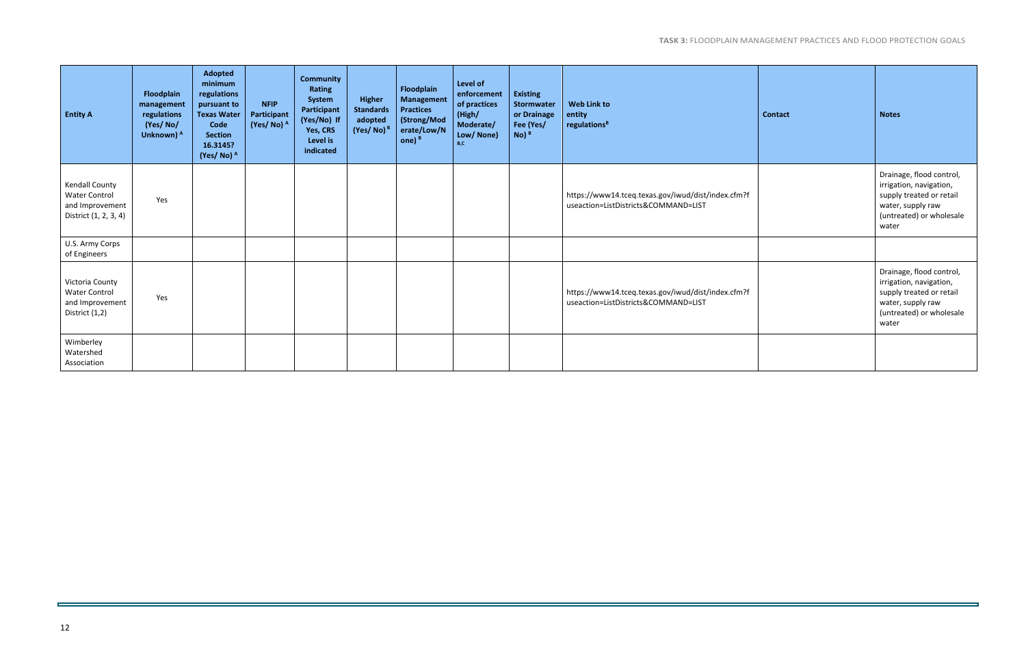| <b>Entity A</b>                                                                           | Floodplain<br>management<br>regulations<br>(Yes/No/<br>Unknown) A | <b>Adopted</b><br>minimum<br>regulations<br>pursuant to<br><b>Texas Water</b><br>Code<br><b>Section</b><br>16.3145?<br>(Yes/No) <sup>A</sup> | <b>NFIP</b><br>Participant<br>(Yes/No) <sup>A</sup> | <b>Community</b><br>Rating<br>System<br>Participant<br>(Yes/No) If<br>Yes, CRS<br>Level is<br>indicated | <b>Higher</b><br><b>Standards</b><br>adopted<br>$(Yes/No)^B$ | Floodplain<br><b>Management</b><br><b>Practices</b><br>(Strong/Mod<br>erate/Low/N<br>one) $B$ | Level of<br>enforcement<br>of practices<br>(High/<br>Moderate/<br>Low/ None)<br>B.C. | <b>Existing</b><br>Stormwater<br>or Drainage<br>Fee (Yes/<br>$No)$ <sup>B</sup> | <b>Web Link to</b><br>entity<br>regulations <sup>B</sup>                                   | <b>Contact</b> | <b>Notes</b>                                                                                                                              |
|-------------------------------------------------------------------------------------------|-------------------------------------------------------------------|----------------------------------------------------------------------------------------------------------------------------------------------|-----------------------------------------------------|---------------------------------------------------------------------------------------------------------|--------------------------------------------------------------|-----------------------------------------------------------------------------------------------|--------------------------------------------------------------------------------------|---------------------------------------------------------------------------------|--------------------------------------------------------------------------------------------|----------------|-------------------------------------------------------------------------------------------------------------------------------------------|
| <b>Kendall County</b><br><b>Water Control</b><br>and Improvement<br>District (1, 2, 3, 4) | Yes                                                               |                                                                                                                                              |                                                     |                                                                                                         |                                                              |                                                                                               |                                                                                      |                                                                                 | https://www14.tceq.texas.gov/iwud/dist/index.cfm?f<br>useaction=ListDistricts&COMMAND=LIST |                | Drainage, flood control,<br>irrigation, navigation,<br>supply treated or retail<br>water, supply raw<br>(untreated) or wholesale<br>water |
| U.S. Army Corps<br>of Engineers                                                           |                                                                   |                                                                                                                                              |                                                     |                                                                                                         |                                                              |                                                                                               |                                                                                      |                                                                                 |                                                                                            |                |                                                                                                                                           |
| Victoria County<br><b>Water Control</b><br>and Improvement<br>District (1,2)              | Yes                                                               |                                                                                                                                              |                                                     |                                                                                                         |                                                              |                                                                                               |                                                                                      |                                                                                 | https://www14.tceq.texas.gov/iwud/dist/index.cfm?f<br>useaction=ListDistricts&COMMAND=LIST |                | Drainage, flood control,<br>irrigation, navigation,<br>supply treated or retail<br>water, supply raw<br>(untreated) or wholesale<br>water |
| Wimberley<br>Watershed<br>Association                                                     |                                                                   |                                                                                                                                              |                                                     |                                                                                                         |                                                              |                                                                                               |                                                                                      |                                                                                 |                                                                                            |                |                                                                                                                                           |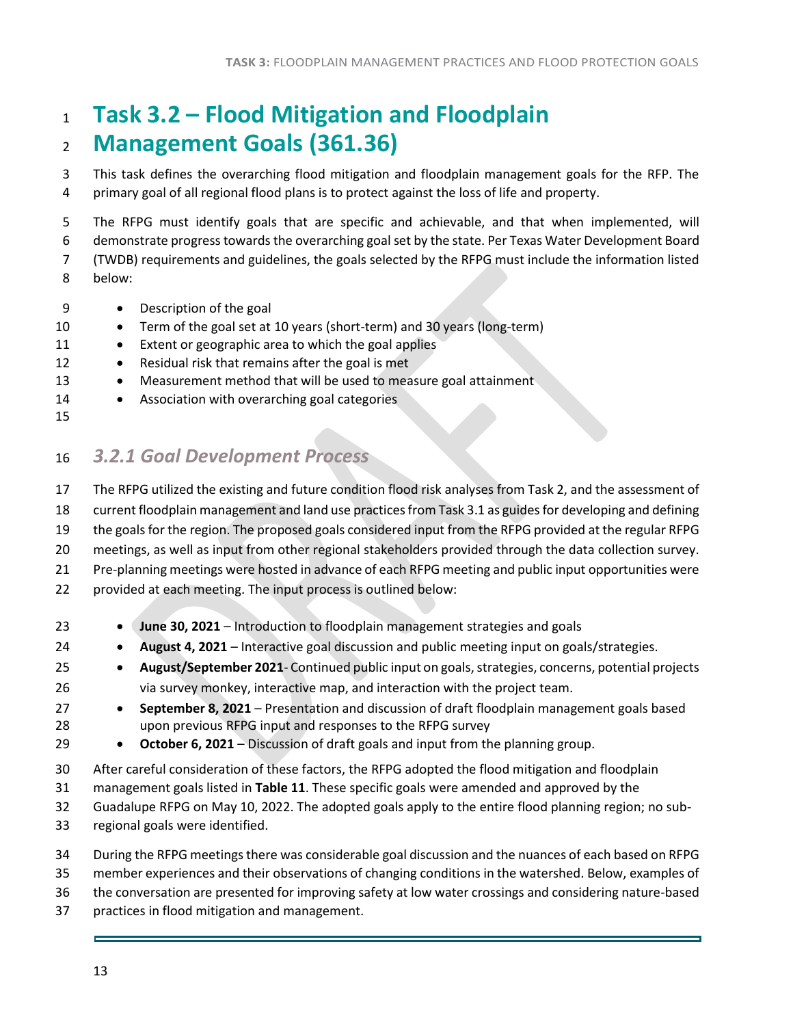## <span id="page-13-0"></span> **Task 3.2 – Flood Mitigation and Floodplain Management Goals (361.36)**

 This task defines the overarching flood mitigation and floodplain management goals for the RFP. The primary goal of all regional flood plans is to protect against the loss of life and property.

 The RFPG must identify goals that are specific and achievable, and that when implemented, will demonstrate progress towards the overarching goalset by the state. Per Texas Water Development Board (TWDB) requirements and guidelines, the goals selected by the RFPG must include the information listed

- below:
- Description of the goal
- 10 Term of the goal set at 10 years (short-term) and 30 years (long-term)
- 11 Extent or geographic area to which the goal applies
- 12 Residual risk that remains after the goal is met
- 13 Measurement method that will be used to measure goal attainment
- 14 Association with overarching goal categories
- 

### <span id="page-13-1"></span>*3.2.1 Goal Development Process*

The RFPG utilized the existing and future condition flood risk analyses from Task 2, and the assessment of

current floodplain management and land use practices from Task 3.1 as guides for developing and defining

the goals for the region. The proposed goals considered input from the RFPG provided at the regular RFPG

meetings, as well as input from other regional stakeholders provided through the data collection survey.

Pre-planning meetings were hosted in advance of each RFPG meeting and public input opportunities were

provided at each meeting. The input process is outlined below:

- **June 30, 2021** Introduction to floodplain management strategies and goals
- **August 4, 2021** Interactive goal discussion and public meeting input on goals/strategies.
- **August/September 2021** Continued public input on goals, strategies, concerns, potential projects via survey monkey, interactive map, and interaction with the project team.
- **September 8, 2021** Presentation and discussion of draft floodplain management goals based upon previous RFPG input and responses to the RFPG survey
- **October 6, 2021** Discussion of draft goals and input from the planning group.
- After careful consideration of these factors, the RFPG adopted the flood mitigation and floodplain
- management goals listed in **Table 11**. These specific goals were amended and approved by the
- Guadalupe RFPG on May 10, 2022. The adopted goals apply to the entire flood planning region; no sub-
- regional goals were identified.
- During the RFPG meetings there was considerable goal discussion and the nuances of each based on RFPG
- member experiences and their observations of changing conditions in the watershed. Below, examples of
- the conversation are presented for improving safety at low water crossings and considering nature-based
- practices in flood mitigation and management.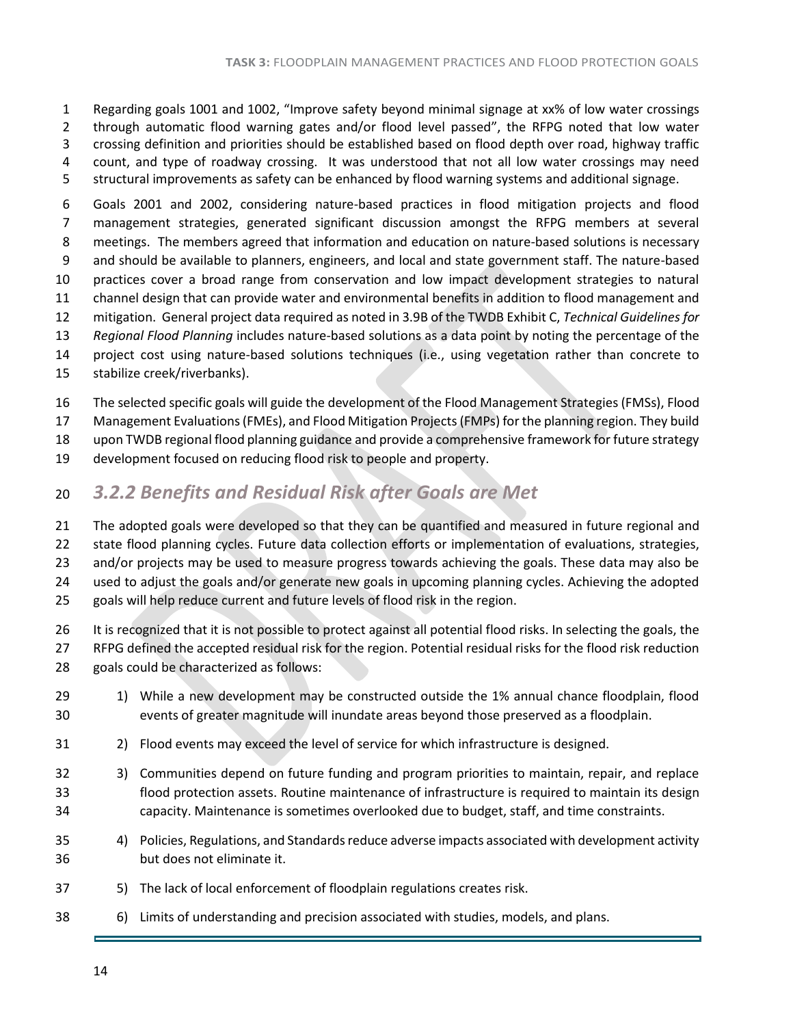Regarding goals 1001 and 1002, "Improve safety beyond minimal signage at xx% of low water crossings through automatic flood warning gates and/or flood level passed", the RFPG noted that low water crossing definition and priorities should be established based on flood depth over road, highway traffic count, and type of roadway crossing. It was understood that not all low water crossings may need structural improvements as safety can be enhanced by flood warning systems and additional signage.

 Goals 2001 and 2002, considering nature-based practices in flood mitigation projects and flood management strategies, generated significant discussion amongst the RFPG members at several meetings. The members agreed that information and education on nature-based solutions is necessary and should be available to planners, engineers, and local and state government staff. The nature-based practices cover a broad range from conservation and low impact development strategies to natural channel design that can provide water and environmental benefits in addition to flood management and mitigation. General project data required as noted in 3.9B of the TWDB Exhibit C, *Technical Guidelines for Regional Flood Planning* includes nature-based solutions as a data point by noting the percentage of the project cost using nature-based solutions techniques (i.e., using vegetation rather than concrete to stabilize creek/riverbanks).

The selected specific goals will guide the development of the Flood Management Strategies (FMSs), Flood

Management Evaluations (FMEs), and Flood Mitigation Projects (FMPs) for the planning region. They build

upon TWDB regional flood planning guidance and provide a comprehensive framework for future strategy

- development focused on reducing flood risk to people and property.
- <span id="page-14-0"></span>*3.2.2 Benefits and Residual Risk after Goals are Met*

 The adopted goals were developed so that they can be quantified and measured in future regional and state flood planning cycles. Future data collection efforts or implementation of evaluations, strategies, 23 and/or projects may be used to measure progress towards achieving the goals. These data may also be used to adjust the goals and/or generate new goals in upcoming planning cycles. Achieving the adopted goals will help reduce current and future levels of flood risk in the region.

- 26 It is recognized that it is not possible to protect against all potential flood risks. In selecting the goals, the RFPG defined the accepted residual risk for the region. Potential residual risks for the flood risk reduction goals could be characterized as follows:
- 29 1) While a new development may be constructed outside the 1% annual chance floodplain, flood events of greater magnitude will inundate areas beyond those preserved as a floodplain.
- 2) Flood events may exceed the level of service for which infrastructure is designed.
- 3) Communities depend on future funding and program priorities to maintain, repair, and replace flood protection assets. Routine maintenance of infrastructure is required to maintain its design capacity. Maintenance is sometimes overlooked due to budget, staff, and time constraints.
- 4) Policies, Regulations, and Standards reduce adverse impacts associated with development activity but does not eliminate it.
- 5) The lack of local enforcement of floodplain regulations creates risk.
- 6) Limits of understanding and precision associated with studies, models, and plans.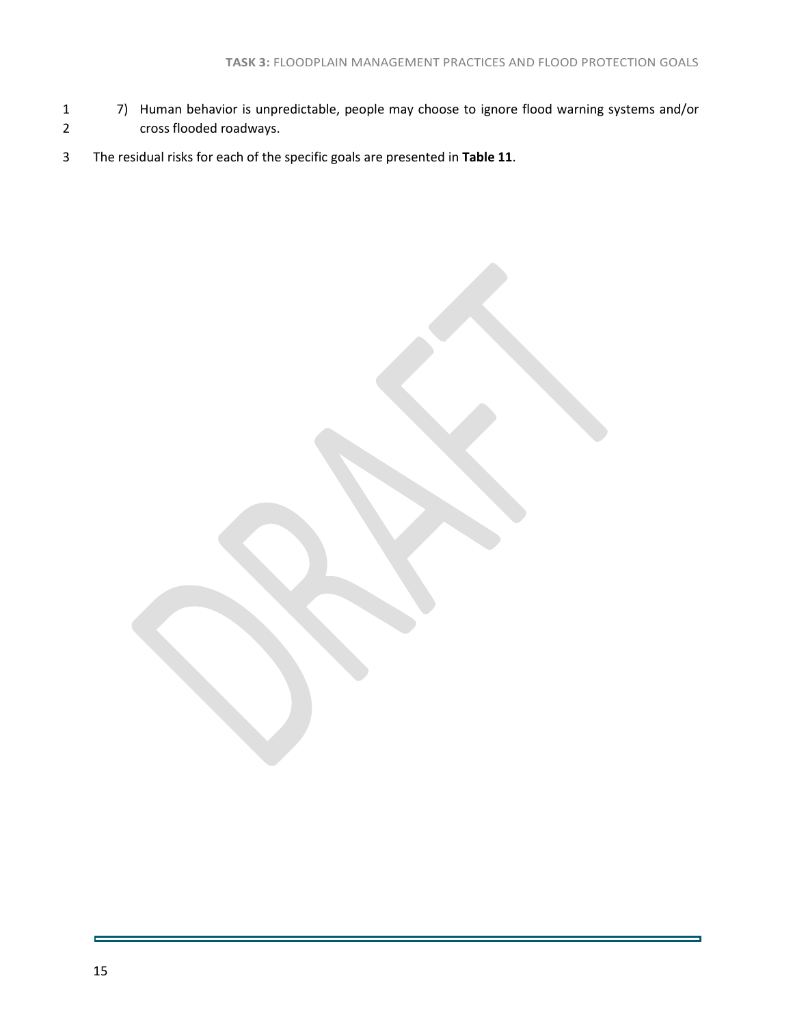- 7) Human behavior is unpredictable, people may choose to ignore flood warning systems and/or cross flooded roadways.
- The residual risks for each of the specific goals are presented in **Table 11**.